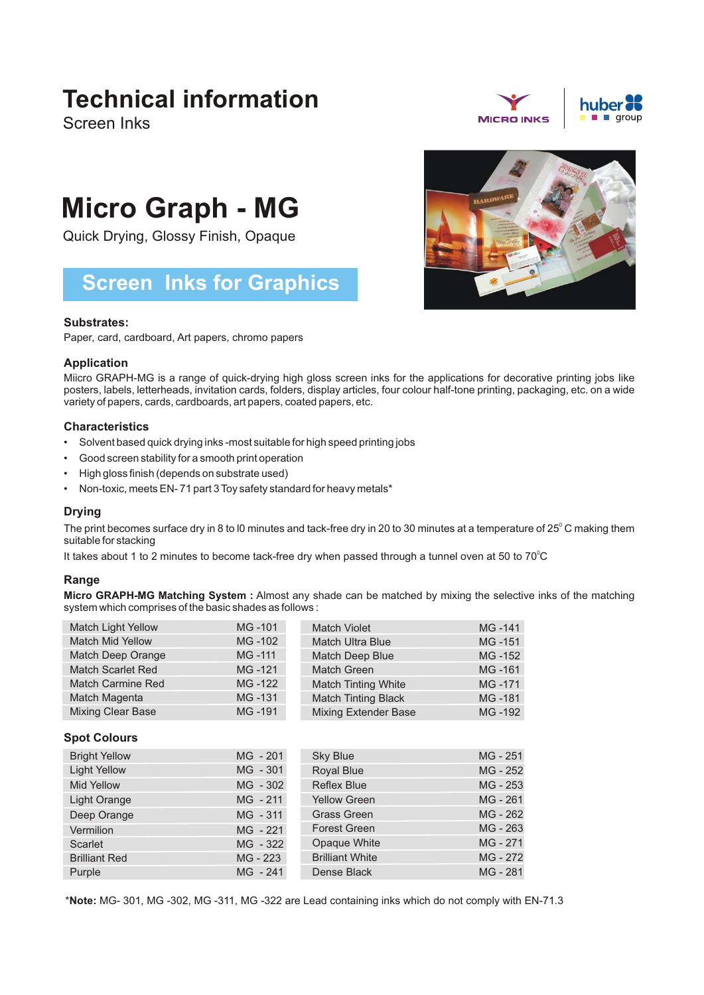## **Technical information**

Screen Inks

# **Micro Graph - MG**

Quick Drying, Glossy Finish, Opaque

### **Screen Inks for Graphics**

#### **Substrates:**

Paper, card, cardboard, Art papers, chromo papers

#### **Application**

Miicro GRAPH-MG is a range of quick-drying high gloss screen inks for the applications for decorative printing jobs Iike posters, labels, letterheads, invitation cards, folders, display articles, four colour half-tone printing, packaging, etc. on a wide variety of papers, cards, cardboards, art papers, coated papers, etc.

#### **Characteristics**

- Solvent based quick drying inks -most suitable for high speed printing jobs •
- Good screen stability for a smooth print operation •
- High gloss finish (depends on substrate used) •
- Non-toxic, meets EN- 71 part 3 Toy safety standard for heavy metals\*

#### **Drying**

The print becomes surface dry in 8 to l0 minutes and tack-free dry in 20 to 30 minutes at a temperature of 25 $^\circ$  C making them suitable for stacking

It takes about 1 to 2 minutes to become tack-free dry when passed through a tunnel oven at 50 to 70 $\degree$ C

#### **Range**

**Micro GRAPH-MG Matching System :** Almost any shade can be matched by mixing the selective inks of the matching system which comprises of the basic shades as follows :

| Match Light Yellow       | MG-101 | <b>Match Violet</b>         | MG-141 |
|--------------------------|--------|-----------------------------|--------|
| <b>Match Mid Yellow</b>  | MG-102 | <b>Match Ultra Blue</b>     | MG-151 |
| Match Deep Orange        | MG-111 | Match Deep Blue             | MG-152 |
| <b>Match Scarlet Red</b> | MG-121 | <b>Match Green</b>          | MG-161 |
| Match Carmine Red        | MG-122 | <b>Match Tinting White</b>  | MG-171 |
| Match Magenta            | MG-131 | <b>Match Tinting Black</b>  | MG-181 |
| <b>Mixing Clear Base</b> | MG-191 | <b>Mixing Extender Base</b> | MG-192 |

#### **Spot Colours**

| <b>Bright Yellow</b> | MG - 201   | <b>Sky Blue</b>        | MG - 251 |
|----------------------|------------|------------------------|----------|
| <b>Light Yellow</b>  | MG - 301   | Royal Blue             | MG - 252 |
| <b>Mid Yellow</b>    | MG - 302   | <b>Reflex Blue</b>     | MG - 253 |
| Light Orange         | $MG - 211$ | <b>Yellow Green</b>    | MG - 261 |
| Deep Orange          | $MG - 311$ | <b>Grass Green</b>     | MG - 262 |
| Vermilion            | MG - 221   | <b>Forest Green</b>    | MG - 263 |
| Scarlet              | MG - 322   | Opaque White           | MG - 271 |
| <b>Brilliant Red</b> | MG - 223   | <b>Brilliant White</b> | MG - 272 |
| Purple               | MG - 241   | Dense Black            | MG - 281 |

\***Note:** MG- 301, MG -302, MG -311, MG -322 are Lead containing inks which do not comply with EN-71.3